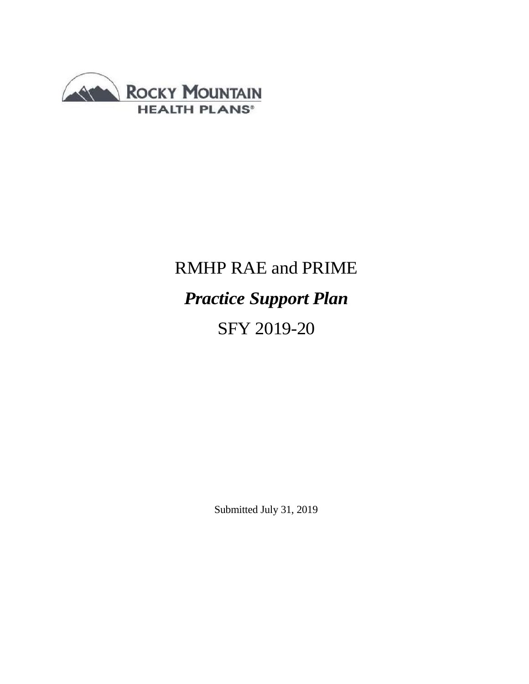

# RMHP RAE and PRIME *Practice Support Plan* SFY 2019-20

Submitted July 31, 2019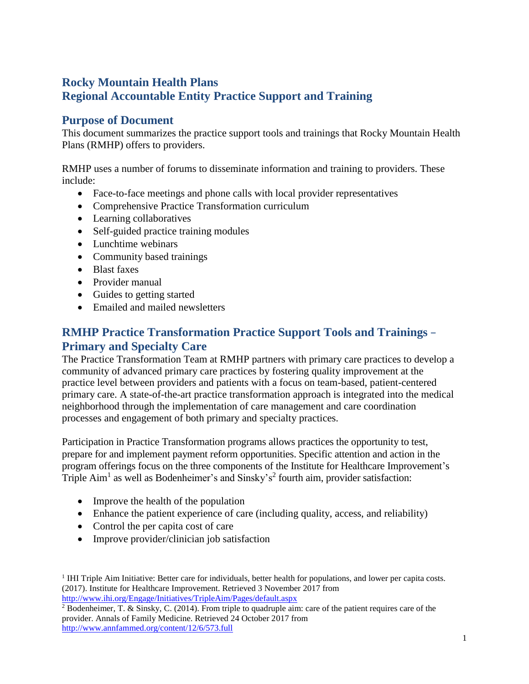# **Rocky Mountain Health Plans Regional Accountable Entity Practice Support and Training**

# **Purpose of Document**

This document summarizes the practice support tools and trainings that Rocky Mountain Health Plans (RMHP) offers to providers.

RMHP uses a number of forums to disseminate information and training to providers. These include:

- Face-to-face meetings and phone calls with local provider representatives
- Comprehensive Practice Transformation curriculum
- Learning collaboratives
- Self-guided practice training modules
- Lunchtime webinars
- Community based trainings
- Blast faxes
- Provider manual
- Guides to getting started
- Emailed and mailed newsletters

# **RMHP Practice Transformation Practice Support Tools and Trainings – Primary and Specialty Care**

The Practice Transformation Team at RMHP partners with primary care practices to develop a community of advanced primary care practices by fostering quality improvement at the practice level between providers and patients with a focus on team-based, patient-centered primary care. A state-of-the-art practice transformation approach is integrated into the medical neighborhood through the implementation of care management and care coordination processes and engagement of both primary and specialty practices.

Participation in Practice Transformation programs allows practices the opportunity to test, prepare for and implement payment reform opportunities. Specific attention and action in the program offerings focus on the three components of the Institute for Healthcare Improvement's Triple  $\text{Aim}^1$  as well as Bodenheimer's and Sinsky's<sup>2</sup> fourth aim, provider satisfaction:

- Improve the health of the population
- Enhance the patient experience of care (including quality, access, and reliability)
- Control the per capita cost of care
- Improve provider/clinician job satisfaction

<sup>2</sup> Bodenheimer, T. & Sinsky, C. (2014). From triple to quadruple aim: care of the patient requires care of the provider. Annals of Family Medicine. Retrieved 24 October 2017 from <http://www.annfammed.org/content/12/6/573.full>

<sup>&</sup>lt;sup>1</sup> IHI Triple Aim Initiative: Better care for individuals, better health for populations, and lower per capita costs. (2017). Institute for Healthcare Improvement. Retrieved 3 November 2017 from <http://www.ihi.org/Engage/Initiatives/TripleAim/Pages/default.aspx>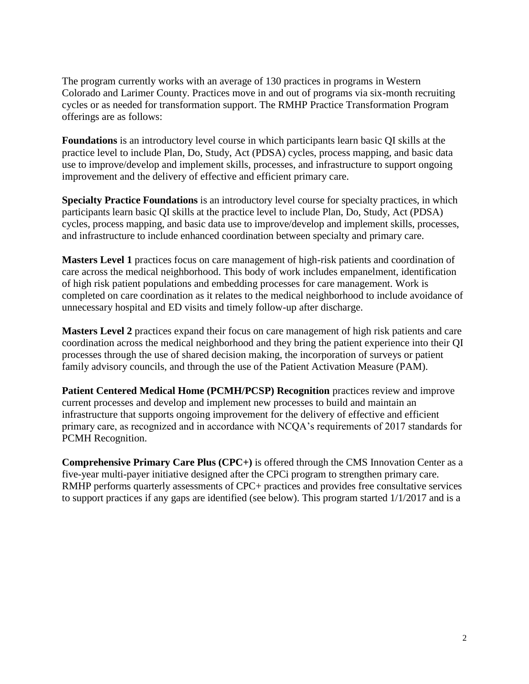The program currently works with an average of 130 practices in programs in Western Colorado and Larimer County. Practices move in and out of programs via six-month recruiting cycles or as needed for transformation support. The RMHP Practice Transformation Program offerings are as follows:

**Foundations** is an introductory level course in which participants learn basic QI skills at the practice level to include Plan, Do, Study, Act (PDSA) cycles, process mapping, and basic data use to improve/develop and implement skills, processes, and infrastructure to support ongoing improvement and the delivery of effective and efficient primary care.

**Specialty Practice Foundations** is an introductory level course for specialty practices, in which participants learn basic QI skills at the practice level to include Plan, Do, Study, Act (PDSA) cycles, process mapping, and basic data use to improve/develop and implement skills, processes, and infrastructure to include enhanced coordination between specialty and primary care.

**Masters Level 1** practices focus on care management of high-risk patients and coordination of care across the medical neighborhood. This body of work includes empanelment, identification of high risk patient populations and embedding processes for care management. Work is completed on care coordination as it relates to the medical neighborhood to include avoidance of unnecessary hospital and ED visits and timely follow-up after discharge.

**Masters Level 2** practices expand their focus on care management of high risk patients and care coordination across the medical neighborhood and they bring the patient experience into their QI processes through the use of shared decision making, the incorporation of surveys or patient family advisory councils, and through the use of the Patient Activation Measure (PAM).

**Patient Centered Medical Home (PCMH/PCSP) Recognition** practices review and improve current processes and develop and implement new processes to build and maintain an infrastructure that supports ongoing improvement for the delivery of effective and efficient primary care, as recognized and in accordance with NCQA's requirements of 2017 standards for PCMH Recognition.

**Comprehensive Primary Care Plus (CPC+)** is offered through the CMS Innovation Center as a five-year multi-payer initiative designed after the CPCi program to strengthen primary care. RMHP performs quarterly assessments of CPC+ practices and provides free consultative services to support practices if any gaps are identified (see below). This program started 1/1/2017 and is a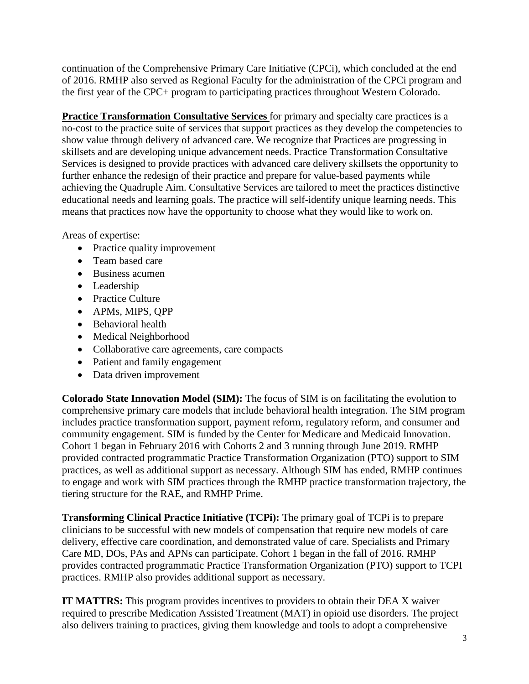continuation of the Comprehensive Primary Care Initiative (CPCi), which concluded at the end of 2016. RMHP also served as Regional Faculty for the administration of the CPCi program and the first year of the CPC+ program to participating practices throughout Western Colorado.

**Practice Transformation Consultative Services** for primary and specialty care practices is a no-cost to the practice suite of services that support practices as they develop the competencies to show value through delivery of advanced care. We recognize that Practices are progressing in skillsets and are developing unique advancement needs. Practice Transformation Consultative Services is designed to provide practices with advanced care delivery skillsets the opportunity to further enhance the redesign of their practice and prepare for value-based payments while achieving the Quadruple Aim. Consultative Services are tailored to meet the practices distinctive educational needs and learning goals. The practice will self-identify unique learning needs. This means that practices now have the opportunity to choose what they would like to work on.

Areas of expertise:

- Practice quality improvement
- Team based care
- Business acumen
- Leadership
- Practice Culture
- APMs, MIPS, QPP
- Behavioral health
- Medical Neighborhood
- Collaborative care agreements, care compacts
- Patient and family engagement
- Data driven improvement

**Colorado State Innovation Model (SIM):** The focus of SIM is on facilitating the evolution to comprehensive primary care models that include behavioral health integration. The SIM program includes practice transformation support, payment reform, regulatory reform, and consumer and community engagement. SIM is funded by the Center for Medicare and Medicaid Innovation. Cohort 1 began in February 2016 with Cohorts 2 and 3 running through June 2019. RMHP provided contracted programmatic Practice Transformation Organization (PTO) support to SIM practices, as well as additional support as necessary. Although SIM has ended, RMHP continues to engage and work with SIM practices through the RMHP practice transformation trajectory, the tiering structure for the RAE, and RMHP Prime.

**Transforming Clinical Practice Initiative (TCPi):** The primary goal of TCPi is to prepare clinicians to be successful with new models of compensation that require new models of care delivery, effective care coordination, and demonstrated value of care. Specialists and Primary Care MD, DOs, PAs and APNs can participate. Cohort 1 began in the fall of 2016. RMHP provides contracted programmatic Practice Transformation Organization (PTO) support to TCPI practices. RMHP also provides additional support as necessary.

**IT MATTRS:** This program provides incentives to providers to obtain their DEA X waiver required to prescribe Medication Assisted Treatment (MAT) in opioid use disorders. The project also delivers training to practices, giving them knowledge and tools to adopt a comprehensive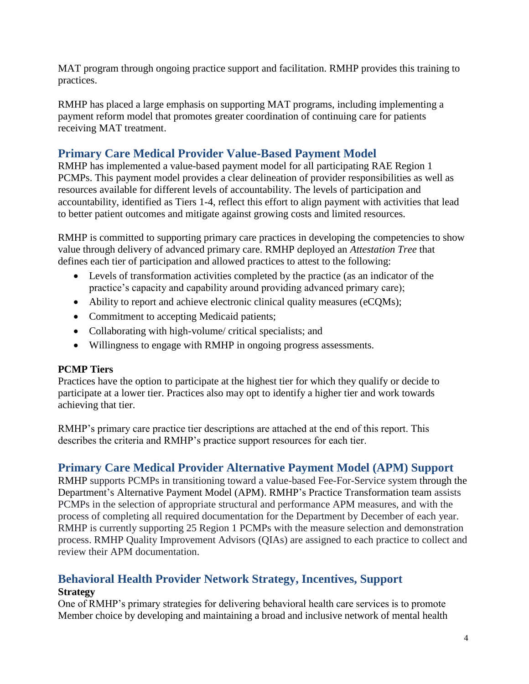MAT program through ongoing practice support and facilitation. RMHP provides this training to practices.

RMHP has placed a large emphasis on supporting MAT programs, including implementing a payment reform model that promotes greater coordination of continuing care for patients receiving MAT treatment.

# **Primary Care Medical Provider Value-Based Payment Model**

RMHP has implemented a value-based payment model for all participating RAE Region 1 PCMPs. This payment model provides a clear delineation of provider responsibilities as well as resources available for different levels of accountability. The levels of participation and accountability, identified as Tiers 1-4, reflect this effort to align payment with activities that lead to better patient outcomes and mitigate against growing costs and limited resources.

RMHP is committed to supporting primary care practices in developing the competencies to show value through delivery of advanced primary care. RMHP deployed an *Attestation Tree* that defines each tier of participation and allowed practices to attest to the following:

- Levels of transformation activities completed by the practice (as an indicator of the practice's capacity and capability around providing advanced primary care);
- Ability to report and achieve electronic clinical quality measures (eCQMs);
- Commitment to accepting Medicaid patients;
- Collaborating with high-volume/ critical specialists; and
- Willingness to engage with RMHP in ongoing progress assessments.

## **PCMP Tiers**

Practices have the option to participate at the highest tier for which they qualify or decide to participate at a lower tier. Practices also may opt to identify a higher tier and work towards achieving that tier.

RMHP's primary care practice tier descriptions are attached at the end of this report. This describes the criteria and RMHP's practice support resources for each tier.

## **Primary Care Medical Provider Alternative Payment Model (APM) Support**

RMHP supports PCMPs in transitioning toward a value-based Fee-For-Service system through the Department's Alternative Payment Model (APM). RMHP's Practice Transformation team assists PCMPs in the selection of appropriate structural and performance APM measures, and with the process of completing all required documentation for the Department by December of each year. RMHP is currently supporting 25 Region 1 PCMPs with the measure selection and demonstration process. RMHP Quality Improvement Advisors (QIAs) are assigned to each practice to collect and review their APM documentation.

## **Behavioral Health Provider Network Strategy, Incentives, Support Strategy**

One of RMHP's primary strategies for delivering behavioral health care services is to promote Member choice by developing and maintaining a broad and inclusive network of mental health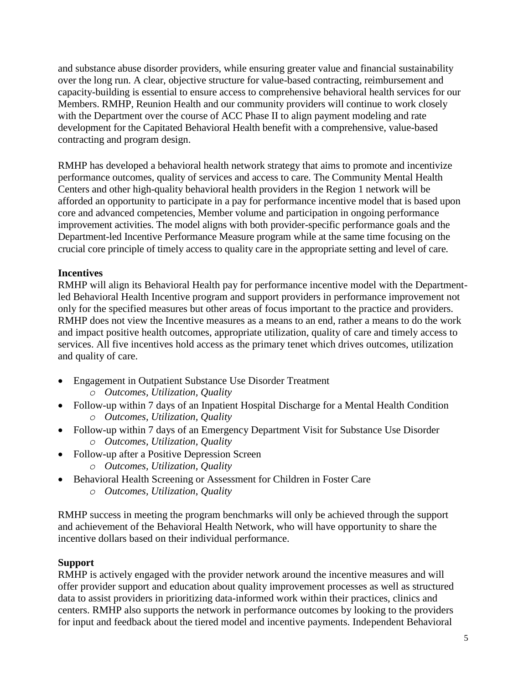and substance abuse disorder providers, while ensuring greater value and financial sustainability over the long run. A clear, objective structure for value-based contracting, reimbursement and capacity-building is essential to ensure access to comprehensive behavioral health services for our Members. RMHP, Reunion Health and our community providers will continue to work closely with the Department over the course of ACC Phase II to align payment modeling and rate development for the Capitated Behavioral Health benefit with a comprehensive, value-based contracting and program design.

RMHP has developed a behavioral health network strategy that aims to promote and incentivize performance outcomes, quality of services and access to care. The Community Mental Health Centers and other high-quality behavioral health providers in the Region 1 network will be afforded an opportunity to participate in a pay for performance incentive model that is based upon core and advanced competencies, Member volume and participation in ongoing performance improvement activities. The model aligns with both provider-specific performance goals and the Department-led Incentive Performance Measure program while at the same time focusing on the crucial core principle of timely access to quality care in the appropriate setting and level of care.

## **Incentives**

RMHP will align its Behavioral Health pay for performance incentive model with the Departmentled Behavioral Health Incentive program and support providers in performance improvement not only for the specified measures but other areas of focus important to the practice and providers. RMHP does not view the Incentive measures as a means to an end, rather a means to do the work and impact positive health outcomes, appropriate utilization, quality of care and timely access to services. All five incentives hold access as the primary tenet which drives outcomes, utilization and quality of care.

- Engagement in Outpatient Substance Use Disorder Treatment *o Outcomes, Utilization, Quality*
- Follow-up within 7 days of an Inpatient Hospital Discharge for a Mental Health Condition *o Outcomes, Utilization, Quality*
- Follow-up within 7 days of an Emergency Department Visit for Substance Use Disorder *o Outcomes, Utilization, Quality*
- Follow-up after a Positive Depression Screen *o Outcomes, Utilization, Quality*
- Behavioral Health Screening or Assessment for Children in Foster Care
	- *o Outcomes, Utilization*, *Quality*

RMHP success in meeting the program benchmarks will only be achieved through the support and achievement of the Behavioral Health Network, who will have opportunity to share the incentive dollars based on their individual performance.

## **Support**

RMHP is actively engaged with the provider network around the incentive measures and will offer provider support and education about quality improvement processes as well as structured data to assist providers in prioritizing data-informed work within their practices, clinics and centers. RMHP also supports the network in performance outcomes by looking to the providers for input and feedback about the tiered model and incentive payments. Independent Behavioral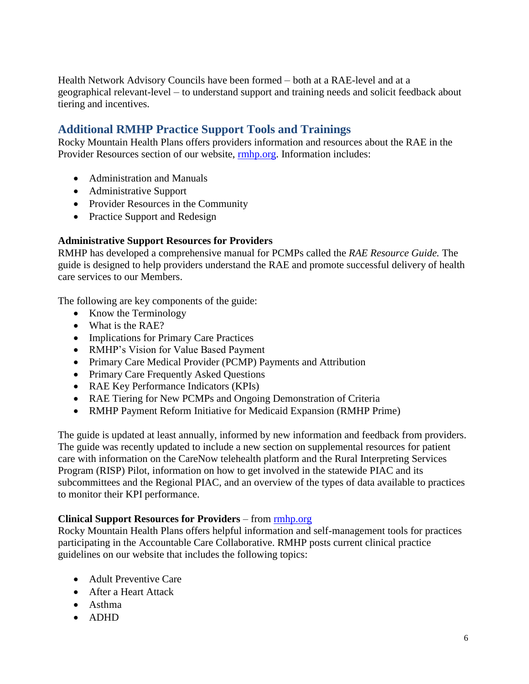Health Network Advisory Councils have been formed – both at a RAE-level and at a geographical relevant-level – to understand support and training needs and solicit feedback about tiering and incentives.

# **Additional RMHP Practice Support Tools and Trainings**

Rocky Mountain Health Plans offers providers information and resources about the RAE in the Provider Resources section of our website, [rmhp.org.](http://rmhp.org/) Information includes:

- Administration and Manuals
- Administrative Support
- Provider Resources in the Community
- Practice Support and Redesign

## **Administrative Support Resources for Providers**

RMHP has developed a comprehensive manual for PCMPs called the *RAE Resource Guide.* The guide is designed to help providers understand the RAE and promote successful delivery of health care services to our Members.

The following are key components of the guide:

- Know the Terminology
- What is the RAE?
- Implications for Primary Care Practices
- RMHP's Vision for Value Based Payment
- Primary Care Medical Provider (PCMP) Payments and Attribution
- Primary Care Frequently Asked Questions
- RAE Key Performance Indicators (KPIs)
- RAE Tiering for New PCMPs and Ongoing Demonstration of Criteria
- RMHP Payment Reform Initiative for Medicaid Expansion (RMHP Prime)

The guide is updated at least annually, informed by new information and feedback from providers. The guide was recently updated to include a new section on supplemental resources for patient care with information on the CareNow telehealth platform and the Rural Interpreting Services Program (RISP) Pilot, information on how to get involved in the statewide PIAC and its subcommittees and the Regional PIAC, and an overview of the types of data available to practices to monitor their KPI performance.

## **Clinical Support Resources for Providers** – from [rmhp.org](http://rmhp.org/)

Rocky Mountain Health Plans offers helpful information and self-management tools for practices participating in the Accountable Care Collaborative. RMHP posts current clinical practice guidelines on our website that includes the following topics:

- Adult Preventive Care
- After a Heart Attack
- Asthma
- ADHD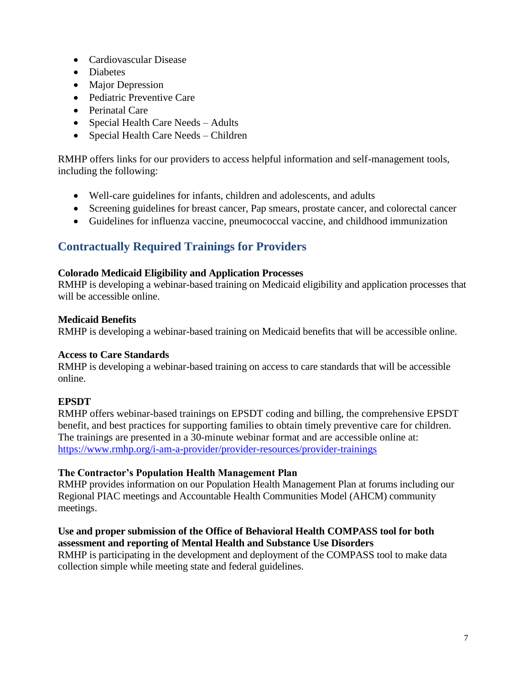- Cardiovascular Disease
- Diabetes
- Major Depression
- Pediatric Preventive Care
- Perinatal Care
- Special Health Care Needs Adults
- Special Health Care Needs Children

RMHP offers links for our providers to access helpful information and self-management tools, including the following:

- Well-care guidelines for infants, children and adolescents, and adults
- Screening guidelines for breast cancer, Pap smears, prostate cancer, and colorectal cancer
- Guidelines for influenza vaccine, pneumococcal vaccine, and childhood immunization

# **Contractually Required Trainings for Providers**

## **Colorado Medicaid Eligibility and Application Processes**

RMHP is developing a webinar-based training on Medicaid eligibility and application processes that will be accessible online.

## **Medicaid Benefits**

RMHP is developing a webinar-based training on Medicaid benefits that will be accessible online.

## **Access to Care Standards**

RMHP is developing a webinar-based training on access to care standards that will be accessible online.

## **EPSDT**

RMHP offers webinar-based trainings on EPSDT coding and billing, the comprehensive EPSDT benefit, and best practices for supporting families to obtain timely preventive care for children. The trainings are presented in a 30-minute webinar format and are accessible online at: <https://www.rmhp.org/i-am-a-provider/provider-resources/provider-trainings>

## **The Contractor's Population Health Management Plan**

RMHP provides information on our Population Health Management Plan at forums including our Regional PIAC meetings and Accountable Health Communities Model (AHCM) community meetings.

## **Use and proper submission of the Office of Behavioral Health COMPASS tool for both assessment and reporting of Mental Health and Substance Use Disorders**

RMHP is participating in the development and deployment of the COMPASS tool to make data collection simple while meeting state and federal guidelines.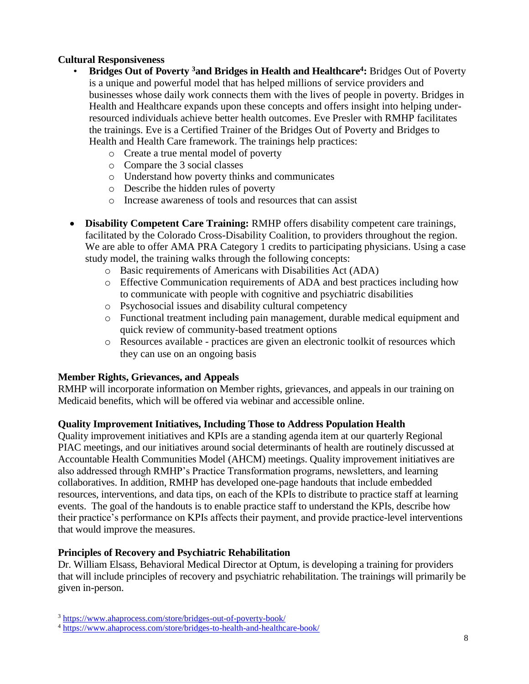### **Cultural Responsiveness**

- **Bridges Out of Poverty <sup>3</sup>and Bridges in Health and Healthcare<sup>4</sup> :** Bridges Out of Poverty is a unique and powerful model that has helped millions of service providers and businesses whose daily work connects them with the lives of people in poverty. Bridges in Health and Healthcare expands upon these concepts and offers insight into helping underresourced individuals achieve better health outcomes. Eve Presler with RMHP facilitates the trainings. Eve is a Certified Trainer of the Bridges Out of Poverty and Bridges to Health and Health Care framework. The trainings help practices:
	- o Create a true mental model of poverty
	- o Compare the 3 social classes
	- o Understand how poverty thinks and communicates
	- o Describe the hidden rules of poverty
	- o Increase awareness of tools and resources that can assist
- **Disability Competent Care Training:** RMHP offers disability competent care trainings, facilitated by the Colorado Cross-Disability Coalition, to providers throughout the region. We are able to offer AMA PRA Category 1 credits to participating physicians. Using a case study model, the training walks through the following concepts:
	- o Basic requirements of Americans with Disabilities Act (ADA)
	- o Effective Communication requirements of ADA and best practices including how to communicate with people with cognitive and psychiatric disabilities
	- o Psychosocial issues and disability cultural competency
	- o Functional treatment including pain management, durable medical equipment and quick review of community-based treatment options
	- o Resources available practices are given an electronic toolkit of resources which they can use on an ongoing basis

#### **Member Rights, Grievances, and Appeals**

RMHP will incorporate information on Member rights, grievances, and appeals in our training on Medicaid benefits, which will be offered via webinar and accessible online.

#### **Quality Improvement Initiatives, Including Those to Address Population Health**

Quality improvement initiatives and KPIs are a standing agenda item at our quarterly Regional PIAC meetings, and our initiatives around social determinants of health are routinely discussed at Accountable Health Communities Model (AHCM) meetings. Quality improvement initiatives are also addressed through RMHP's Practice Transformation programs, newsletters, and learning collaboratives. In addition, RMHP has developed one-page handouts that include embedded resources, interventions, and data tips, on each of the KPIs to distribute to practice staff at learning events. The goal of the handouts is to enable practice staff to understand the KPIs, describe how their practice's performance on KPIs affects their payment, and provide practice-level interventions that would improve the measures.

#### **Principles of Recovery and Psychiatric Rehabilitation**

Dr. William Elsass, Behavioral Medical Director at Optum, is developing a training for providers that will include principles of recovery and psychiatric rehabilitation. The trainings will primarily be given in-person.

<sup>3</sup> <https://www.ahaprocess.com/store/bridges-out-of-poverty-book/>

<sup>&</sup>lt;sup>4</sup> <https://www.ahaprocess.com/store/bridges-to-health-and-healthcare-book/>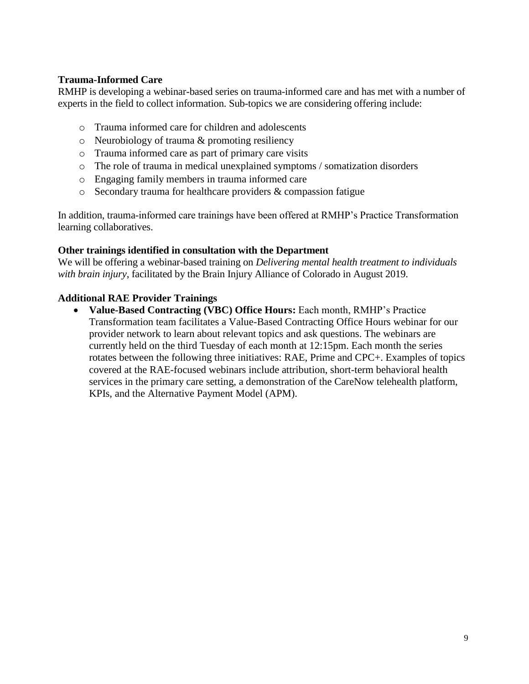## **Trauma-Informed Care**

RMHP is developing a webinar-based series on trauma-informed care and has met with a number of experts in the field to collect information. Sub-topics we are considering offering include:

- o Trauma informed care for children and adolescents
- o Neurobiology of trauma & promoting resiliency
- o Trauma informed care as part of primary care visits
- o The role of trauma in medical unexplained symptoms / somatization disorders
- o Engaging family members in trauma informed care
- $\circ$  Secondary trauma for healthcare providers & compassion fatigue

In addition, trauma-informed care trainings have been offered at RMHP's Practice Transformation learning collaboratives.

## **Other trainings identified in consultation with the Department**

We will be offering a webinar-based training on *Delivering mental health treatment to individuals with brain injury*, facilitated by the Brain Injury Alliance of Colorado in August 2019.

## **Additional RAE Provider Trainings**

 **Value-Based Contracting (VBC) Office Hours:** Each month, RMHP's Practice Transformation team facilitates a Value-Based Contracting Office Hours webinar for our provider network to learn about relevant topics and ask questions. The webinars are currently held on the third Tuesday of each month at 12:15pm. Each month the series rotates between the following three initiatives: RAE, Prime and CPC+. Examples of topics covered at the RAE-focused webinars include attribution, short-term behavioral health services in the primary care setting, a demonstration of the CareNow telehealth platform, KPIs, and the Alternative Payment Model (APM).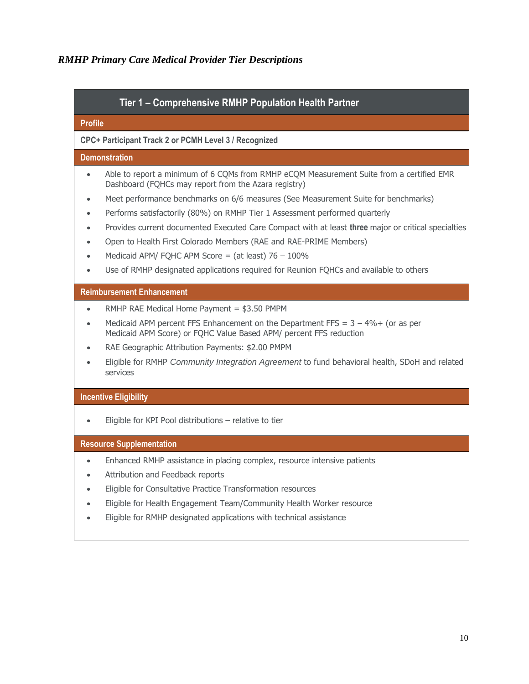# *RMHP Primary Care Medical Provider Tier Descriptions*

| Tier 1 – Comprehensive RMHP Population Health Partner<br><b>Profile</b><br>CPC+ Participant Track 2 or PCMH Level 3 / Recognized |                                                                                                                                                          |           |                                                                                                                                                  |
|----------------------------------------------------------------------------------------------------------------------------------|----------------------------------------------------------------------------------------------------------------------------------------------------------|-----------|--------------------------------------------------------------------------------------------------------------------------------------------------|
|                                                                                                                                  |                                                                                                                                                          |           | <b>Demonstration</b>                                                                                                                             |
|                                                                                                                                  |                                                                                                                                                          | $\bullet$ | Able to report a minimum of 6 CQMs from RMHP eCQM Measurement Suite from a certified EMR<br>Dashboard (FQHCs may report from the Azara registry) |
| $\bullet$                                                                                                                        | Meet performance benchmarks on 6/6 measures (See Measurement Suite for benchmarks)                                                                       |           |                                                                                                                                                  |
| ٠                                                                                                                                | Performs satisfactorily (80%) on RMHP Tier 1 Assessment performed quarterly                                                                              |           |                                                                                                                                                  |
|                                                                                                                                  | Provides current documented Executed Care Compact with at least three major or critical specialties                                                      |           |                                                                                                                                                  |
| ٠                                                                                                                                | Open to Health First Colorado Members (RAE and RAE-PRIME Members)                                                                                        |           |                                                                                                                                                  |
|                                                                                                                                  | Medicaid APM/ FQHC APM Score = (at least) $76 - 100\%$                                                                                                   |           |                                                                                                                                                  |
|                                                                                                                                  | Use of RMHP designated applications required for Reunion FQHCs and available to others                                                                   |           |                                                                                                                                                  |
|                                                                                                                                  | <b>Reimbursement Enhancement</b>                                                                                                                         |           |                                                                                                                                                  |
| $\bullet$                                                                                                                        | RMHP RAE Medical Home Payment = $$3.50$ PMPM                                                                                                             |           |                                                                                                                                                  |
| $\bullet$                                                                                                                        | Medicaid APM percent FFS Enhancement on the Department FFS = $3 - 4% +$ (or as per<br>Medicaid APM Score) or FQHC Value Based APM/ percent FFS reduction |           |                                                                                                                                                  |
| ٠                                                                                                                                | RAE Geographic Attribution Payments: \$2.00 PMPM                                                                                                         |           |                                                                                                                                                  |
|                                                                                                                                  | Eligible for RMHP Community Integration Agreement to fund behavioral health, SDoH and related<br>services                                                |           |                                                                                                                                                  |
|                                                                                                                                  | <b>Incentive Eligibility</b>                                                                                                                             |           |                                                                                                                                                  |
|                                                                                                                                  | Eligible for KPI Pool distributions - relative to tier                                                                                                   |           |                                                                                                                                                  |
|                                                                                                                                  | <b>Resource Supplementation</b>                                                                                                                          |           |                                                                                                                                                  |
| $\bullet$                                                                                                                        | Enhanced RMHP assistance in placing complex, resource intensive patients                                                                                 |           |                                                                                                                                                  |
|                                                                                                                                  | Attribution and Feedback reports                                                                                                                         |           |                                                                                                                                                  |
|                                                                                                                                  | Eligible for Consultative Practice Transformation resources                                                                                              |           |                                                                                                                                                  |
|                                                                                                                                  | Eligible for Health Engagement Team/Community Health Worker resource                                                                                     |           |                                                                                                                                                  |
|                                                                                                                                  | Eligible for RMHP designated applications with technical assistance                                                                                      |           |                                                                                                                                                  |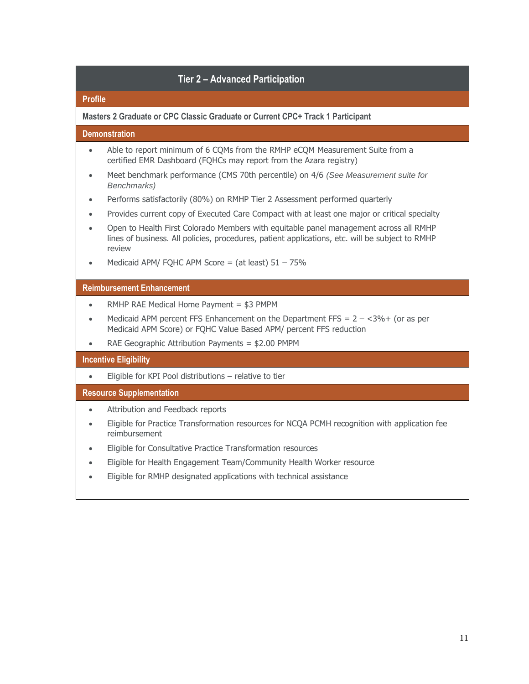#### **Tier 2 – Advanced Participation**

#### **Profile**

#### **Masters 2 Graduate or CPC Classic Graduate or Current CPC+ Track 1 Participant**

#### **Demonstration**

- Able to report minimum of 6 CQMs from the RMHP eCQM Measurement Suite from a certified EMR Dashboard (FQHCs may report from the Azara registry)
- Meet benchmark performance (CMS 70th percentile) on 4/6 *(See Measurement suite for Benchmarks)*
- Performs satisfactorily (80%) on RMHP Tier 2 Assessment performed quarterly
- Provides current copy of Executed Care Compact with at least one major or critical specialty
- Open to Health First Colorado Members with equitable panel management across all RMHP lines of business. All policies, procedures, patient applications, etc. will be subject to RMHP review
- Medicaid APM/ FOHC APM Score = (at least)  $51 75\%$

#### **Reimbursement Enhancement**

- RMHP RAE Medical Home Payment = \$3 PMPM
- Medicaid APM percent FFS Enhancement on the Department FFS =  $2 \langle 3\% + \langle$  or as per Medicaid APM Score) or FQHC Value Based APM/ percent FFS reduction
- RAE Geographic Attribution Payments = \$2.00 PMPM

#### **Incentive Eligibility**

Eligible for KPI Pool distributions – relative to tier

#### **Resource Supplementation**

- Attribution and Feedback reports
- Eligible for Practice Transformation resources for NCQA PCMH recognition with application fee reimbursement
- Eligible for Consultative Practice Transformation resources
- Eligible for Health Engagement Team/Community Health Worker resource
- Eligible for RMHP designated applications with technical assistance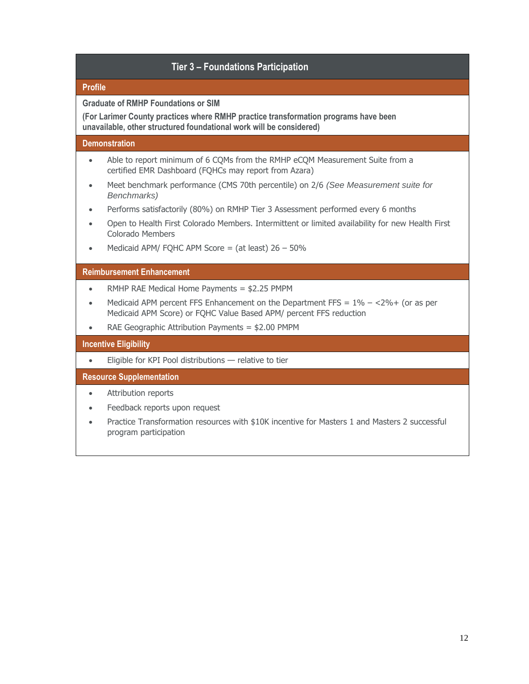## **Tier 3 – Foundations Participation**

#### **Profile**

#### **Graduate of RMHP Foundations or SIM**

**(For Larimer County practices where RMHP practice transformation programs have been unavailable, other structured foundational work will be considered)**

#### **Demonstration**

- Able to report minimum of 6 CQMs from the RMHP eCQM Measurement Suite from a certified EMR Dashboard (FQHCs may report from Azara)
- Meet benchmark performance (CMS 70th percentile) on 2/6 *(See Measurement suite for Benchmarks)*
- Performs satisfactorily (80%) on RMHP Tier 3 Assessment performed every 6 months
- Open to Health First Colorado Members. Intermittent or limited availability for new Health First Colorado Members
- Medicaid APM/ FQHC APM Score = (at least)  $26 50\%$

#### **Reimbursement Enhancement**

- RMHP RAE Medical Home Payments = \$2.25 PMPM
- Medicaid APM percent FFS Enhancement on the Department FFS =  $1\% \langle 2\% + \langle$  or as per Medicaid APM Score) or FQHC Value Based APM/ percent FFS reduction
- RAE Geographic Attribution Payments = \$2.00 PMPM

#### **Incentive Eligibility**

Eligible for KPI Pool distributions — relative to tier

#### **Resource Supplementation**

- Attribution reports
- Feedback reports upon request
- Practice Transformation resources with \$10K incentive for Masters 1 and Masters 2 successful program participation